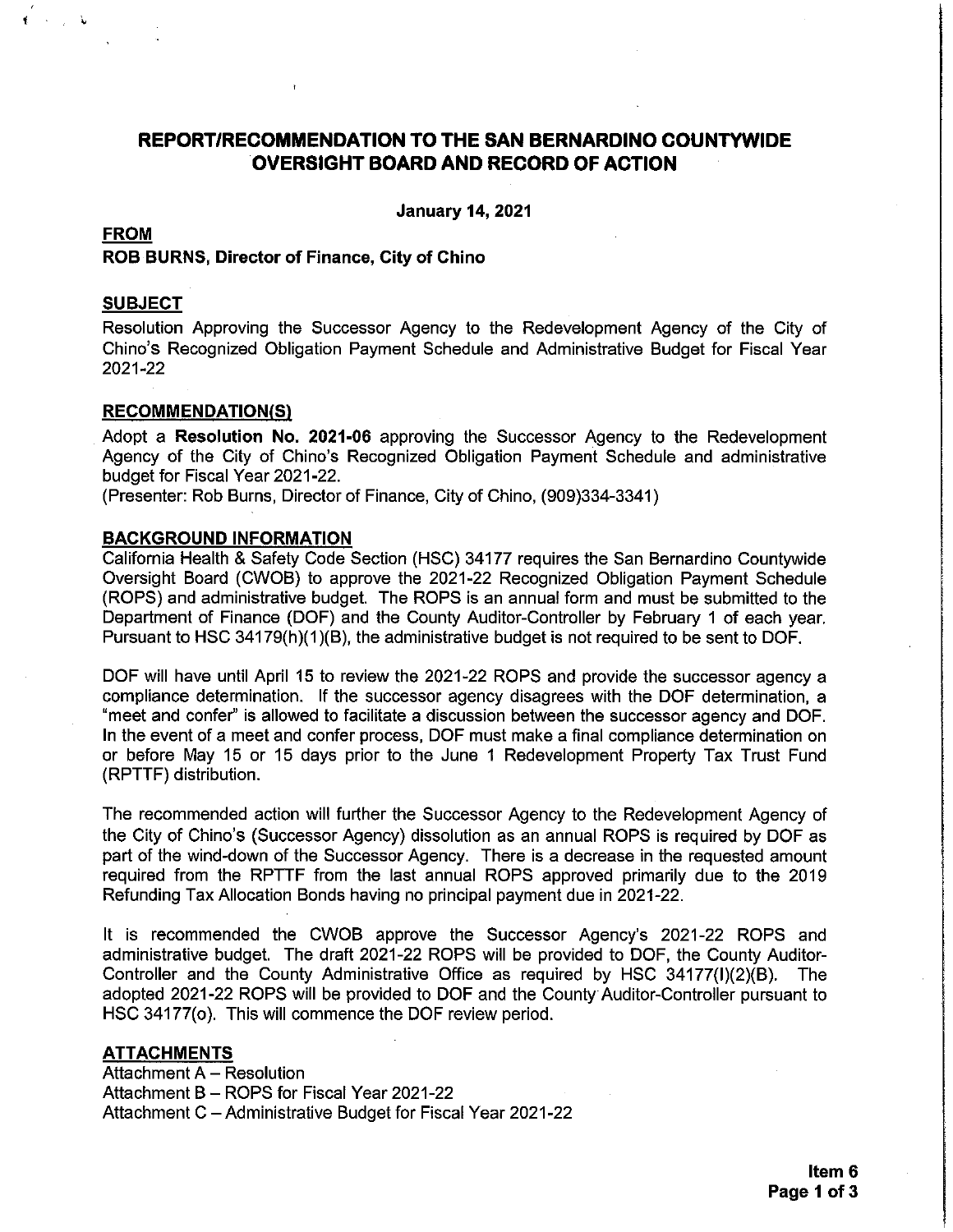# **REPORT/RECOMMENDATION TO THE SAN BERNARDINO COUNTYWIDE OVERSIGHT BOARD AND RECORD OF ACTION**

**January 14, 2021** 

#### **FROM**

# ROB BURNS, Director of Finance, City of Chino

#### **SUBJECT**

Resolution Approving the Successor Agency to the Redevelopment Agency of the City of Chino's Recognized Obligation Payment Schedule and Administrative Budget for Fiscal Year 2021-22

#### **RECOMMENDATION(S)**

Adopt a Resolution No. 2021-06 approving the Successor Agency to the Redevelopment Agency of the City of Chino's Recognized Obligation Payment Schedule and administrative budget for Fiscal Year 2021-22.

(Presenter: Rob Burns, Director of Finance, City of Chino, (909)334-3341)

#### **BACKGROUND INFORMATION**

California Health & Safety Code Section (HSC) 34177 requires the San Bernardino Countywide Oversight Board (CWOB) to approve the 2021-22 Recognized Obligation Payment Schedule (ROPS) and administrative budget. The ROPS is an annual form and must be submitted to the Department of Finance (DOF) and the County Auditor-Controller by February 1 of each year. Pursuant to HSC 34179(h)(1)(B), the administrative budget is not required to be sent to DOF.

DOF will have until April 15 to review the 2021-22 ROPS and provide the successor agency a compliance determination. If the successor agency disagrees with the DOF determination, a "meet and confer" is allowed to facilitate a discussion between the successor agency and DOF. In the event of a meet and confer process, DOF must make a final compliance determination on or before May 15 or 15 days prior to the June 1 Redevelopment Property Tax Trust Fund (RPTTF) distribution.

The recommended action will further the Successor Agency to the Redevelopment Agency of the City of Chino's (Successor Agency) dissolution as an annual ROPS is required by DOF as part of the wind-down of the Successor Agency. There is a decrease in the requested amount required from the RPTTF from the last annual ROPS approved primarily due to the 2019 Refunding Tax Allocation Bonds having no principal payment due in 2021-22.

It is recommended the CWOB approve the Successor Agency's 2021-22 ROPS and administrative budget. The draft 2021-22 ROPS will be provided to DOF, the County Auditor-Controller and the County Administrative Office as required by HSC 34177(I)(2)(B). The adopted 2021-22 ROPS will be provided to DOF and the County Auditor-Controller pursuant to HSC 34177(o). This will commence the DOF review period.

#### **ATTACHMENTS**

Attachment A - Resolution Attachment B - ROPS for Fiscal Year 2021-22 Attachment C - Administrative Budget for Fiscal Year 2021-22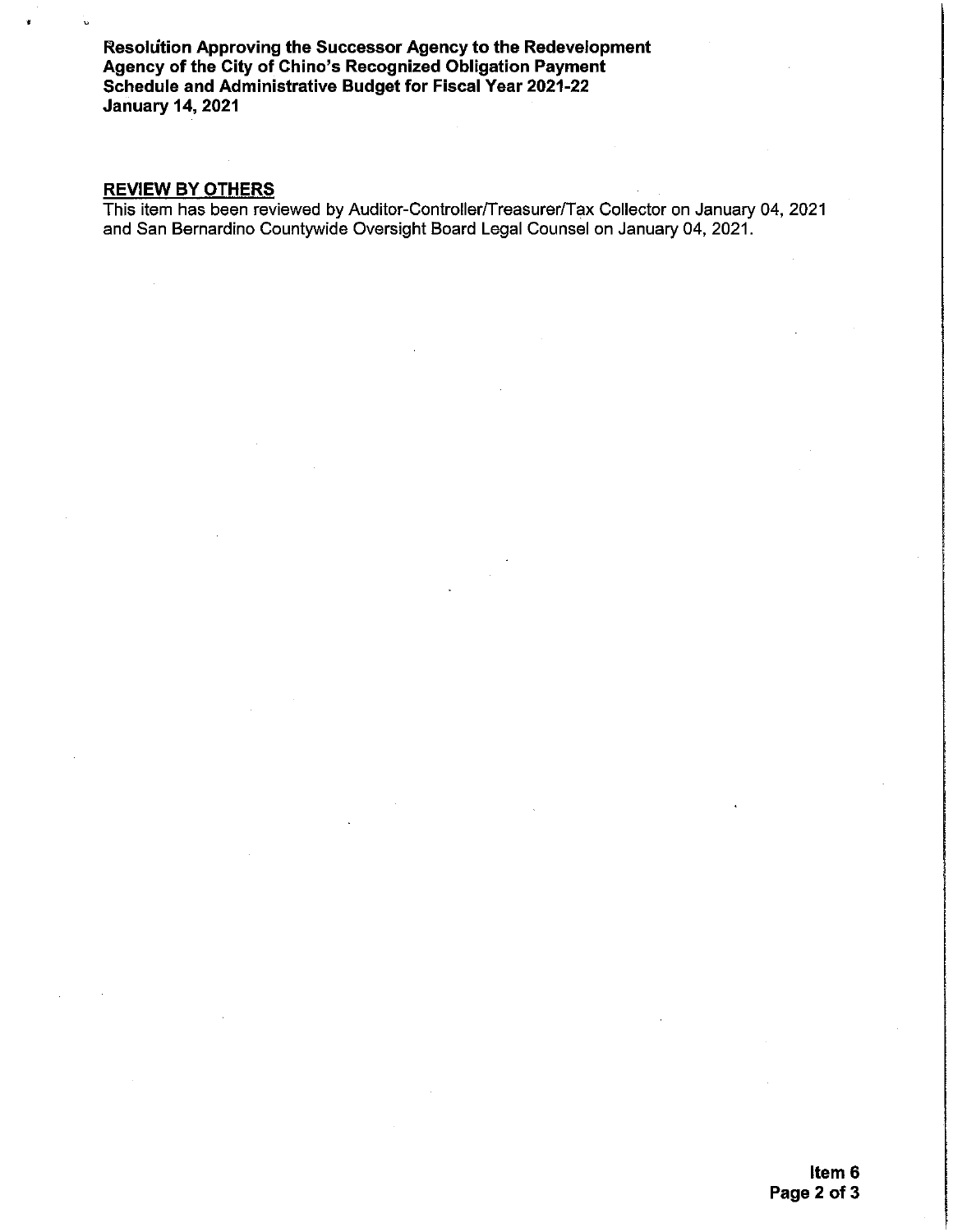Resolution Approving the Successor Agency to the Redevelopment Agency of the City of Chino's Recognized Obligation Payment Schedule and Administrative Budget for Fiscal Year 2021-22 **January 14, 2021** 

# **REVIEW BY OTHERS**

This item has been reviewed by Auditor-Controller/Treasurer/Tax Collector on January 04, 2021 and San Bernardino Countywide Oversight Board Legal Counsel on January 04, 2021.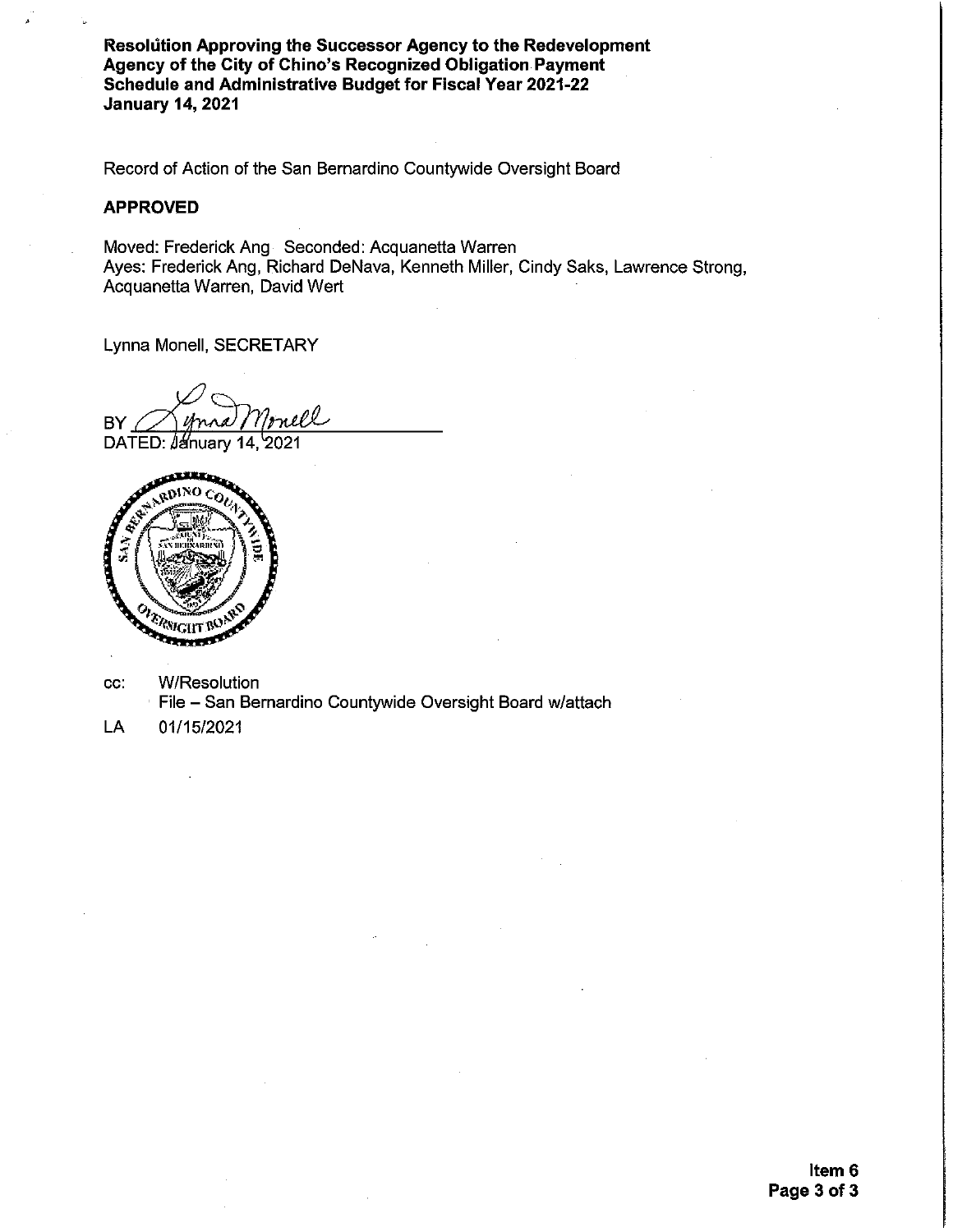Resolution Approving the Successor Agency to the Redevelopment Agency of the City of Chino's Recognized Obligation Payment Schedule and Administrative Budget for Fiscal Year 2021-22 **January 14, 2021** 

Record of Action of the San Bernardino Countywide Oversight Board

# **APPROVED**

Moved: Frederick Ang Seconded: Acquanetta Warren Ayes: Frederick Ang, Richard DeNava, Kenneth Miller, Cindy Saks, Lawrence Strong, Acquanetta Warren, David Wert

Lynna Monell, SECRETARY

nell BY

DATED: January 14, 2021



- W/Resolution CC: File - San Bernardino Countywide Oversight Board w/attach
- 01/15/2021 LA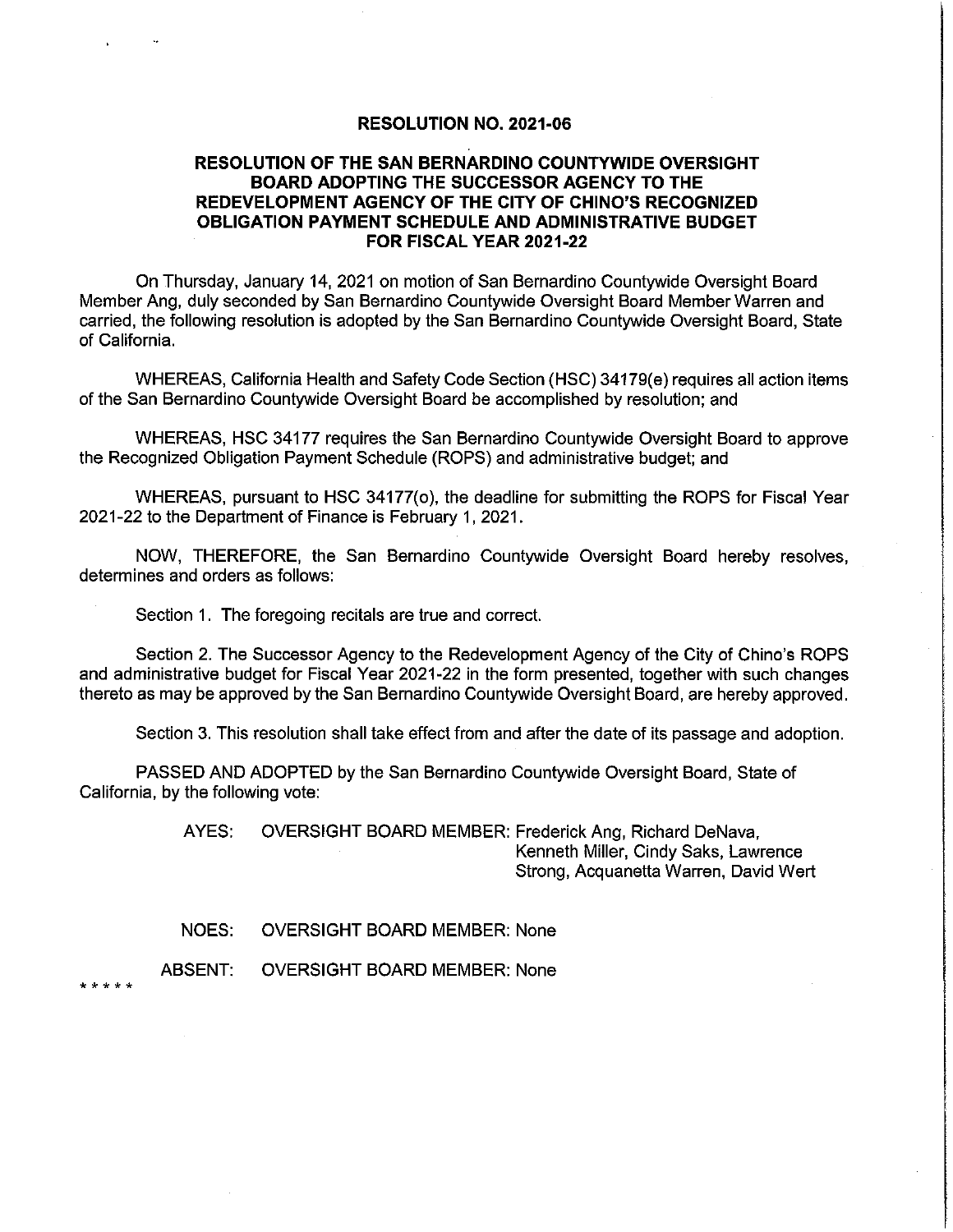#### **RESOLUTION NO. 2021-06**

# RESOLUTION OF THE SAN BERNARDINO COUNTYWIDE OVERSIGHT **BOARD ADOPTING THE SUCCESSOR AGENCY TO THE** REDEVELOPMENT AGENCY OF THE CITY OF CHINO'S RECOGNIZED **OBLIGATION PAYMENT SCHEDULE AND ADMINISTRATIVE BUDGET** FOR FISCAL YEAR 2021-22

On Thursday, January 14, 2021 on motion of San Bernardino Countywide Oversight Board Member Ang, duly seconded by San Bernardino Countywide Oversight Board Member Warren and carried, the following resolution is adopted by the San Bernardino Countywide Oversight Board, State of California.

WHEREAS, California Health and Safety Code Section (HSC) 34179(e) requires all action items of the San Bernardino Countywide Oversight Board be accomplished by resolution; and

WHEREAS, HSC 34177 requires the San Bernardino Countywide Oversight Board to approve the Recognized Obligation Payment Schedule (ROPS) and administrative budget; and

WHEREAS, pursuant to HSC 34177(o), the deadline for submitting the ROPS for Fiscal Year 2021-22 to the Department of Finance is February 1, 2021.

NOW, THEREFORE, the San Bernardino Countywide Oversight Board hereby resolves, determines and orders as follows:

Section 1. The foregoing recitals are true and correct.

Section 2. The Successor Agency to the Redevelopment Agency of the City of Chino's ROPS and administrative budget for Fiscal Year 2021-22 in the form presented, together with such changes thereto as may be approved by the San Bernardino Countywide Oversight Board, are hereby approved.

Section 3. This resolution shall take effect from and after the date of its passage and adoption.

PASSED AND ADOPTED by the San Bernardino Countywide Oversight Board, State of California, by the following vote:

> AYES: OVERSIGHT BOARD MEMBER: Frederick Ang, Richard DeNava, Kenneth Miller, Cindy Saks, Lawrence Strong, Acquanetta Warren, David Wert

NOES: **OVERSIGHT BOARD MEMBER: None** 

**ABSENT: OVERSIGHT BOARD MEMBER: None** 

 $+ + + +$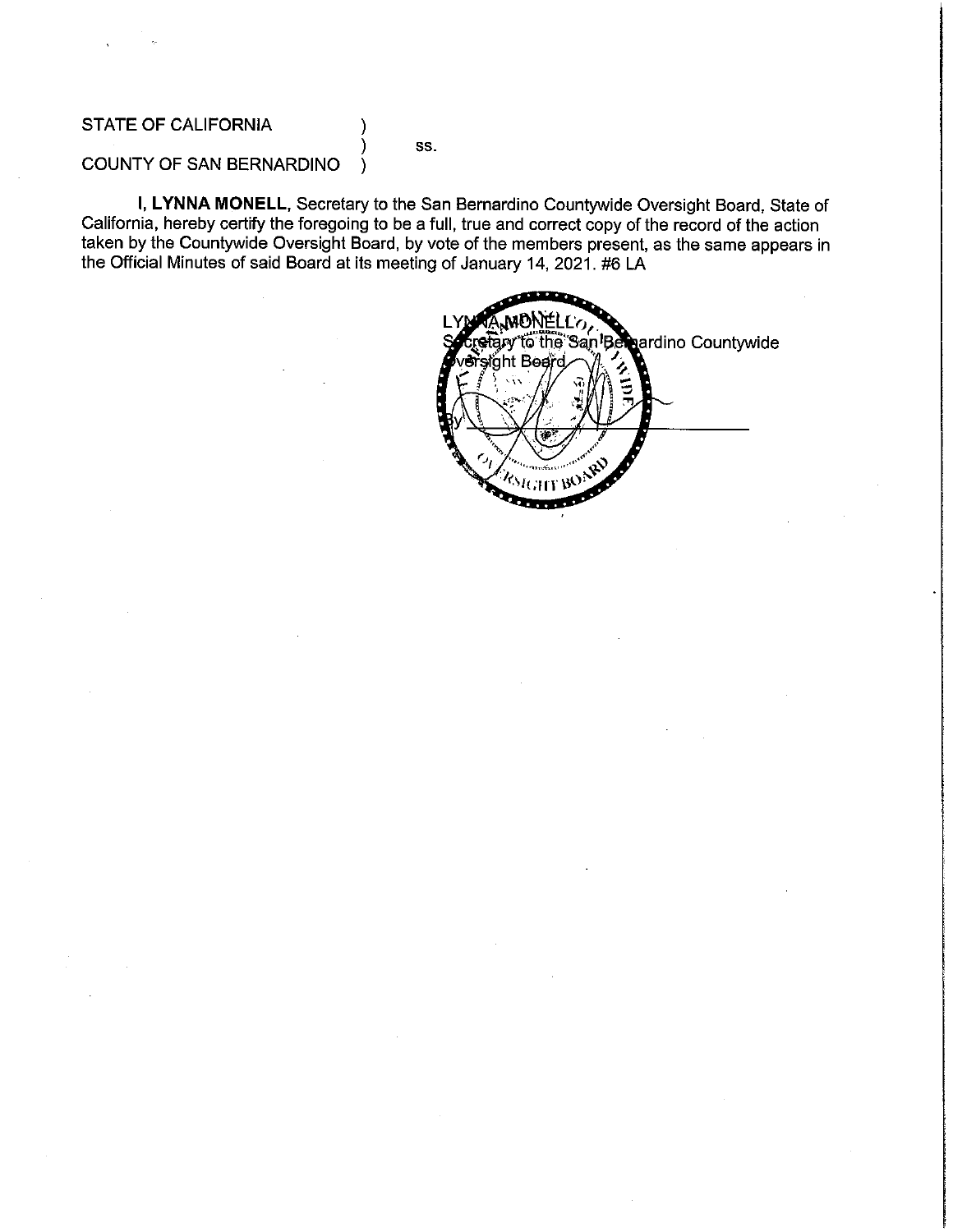# STATE OF CALIFORNIA

SS.

#### **COUNTY OF SAN BERNARDINO**  $\lambda$

I, LYNNA MONELL, Secretary to the San Bernardino Countywide Oversight Board, State of California, hereby certify the foregoing to be a full, true and correct copy of the record of the action taken by the Countywide Oversight Board, by vote of the members present, as the same appears in the Official Minutes of said Board at its meeting of January 14, 2021. #6 LA

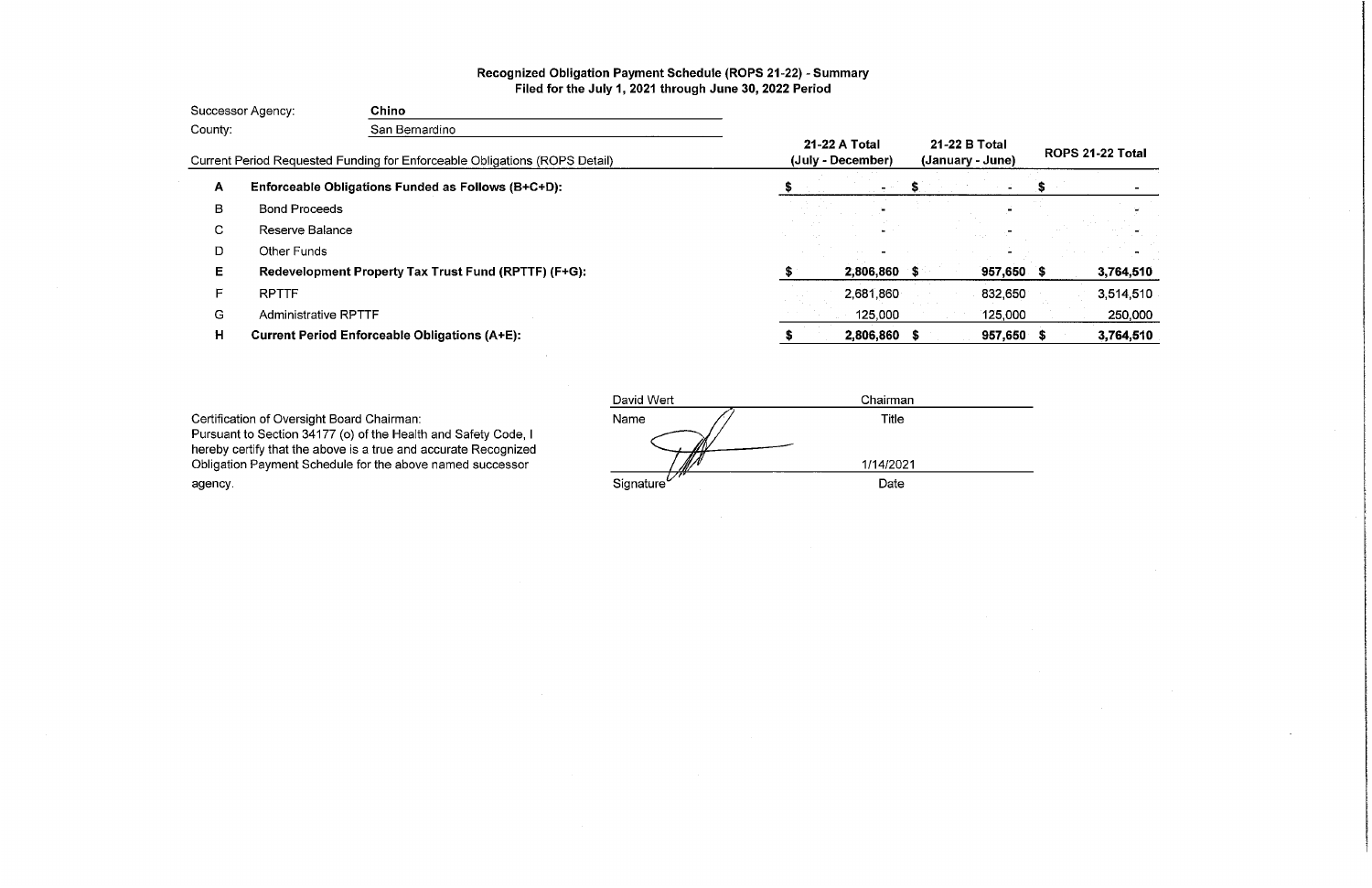# Recognized Obligation Payment Schedule (ROPS 21-22) - Summary Filed for the July 1, 2021 through June 30, 2022 Period

| Successor Agency:                                                                                       |                             | Chino                                                |                                   |                  |              |  |           |
|---------------------------------------------------------------------------------------------------------|-----------------------------|------------------------------------------------------|-----------------------------------|------------------|--------------|--|-----------|
| County:<br>San Bernardino<br>Current Period Requested Funding for Enforceable Obligations (ROPS Detail) |                             |                                                      |                                   |                  |              |  |           |
|                                                                                                         |                             | 21-22 A Total<br>(July - December)                   | 21-22 B Total<br>(January - June) | ROPS 21-22 Total |              |  |           |
| А                                                                                                       |                             | Enforceable Obligations Funded as Follows (B+C+D):   |                                   |                  |              |  |           |
| в                                                                                                       | <b>Bond Proceeds</b>        |                                                      |                                   |                  |              |  |           |
| C.                                                                                                      | Reserve Balance             |                                                      |                                   |                  |              |  |           |
| D                                                                                                       | <b>Other Funds</b>          |                                                      |                                   |                  |              |  |           |
| E.                                                                                                      |                             | Redevelopment Property Tax Trust Fund (RPTTF) (F+G): |                                   | 2,806,860 \$     | $957,650$ \$ |  | 3,764,510 |
| F.                                                                                                      | <b>RPTTF</b>                |                                                      |                                   | 2,681,860        | 832,650      |  | 3,514,510 |
| G                                                                                                       | <b>Administrative RPTTF</b> |                                                      |                                   | 125,000          | 125,000      |  | 250,000   |
| н                                                                                                       |                             | <b>Current Period Enforceable Obligations (A+E):</b> |                                   | 2,806,860 \$     | $957,650$ \$ |  | 3,764,510 |

Certification of Oversight Board Chairman:<br>Pursuant to Section 34177 (o) of the Health and Safety Code, I<br>hereby certify that the above is a true and accurate Recognized Obligation Payment Schedule for the above named successor agency.

| David Wert         | Chairman  |  |
|--------------------|-----------|--|
| Name               | Title     |  |
|                    |           |  |
|                    | 1/14/2021 |  |
| Signature $^{\nu}$ | Date      |  |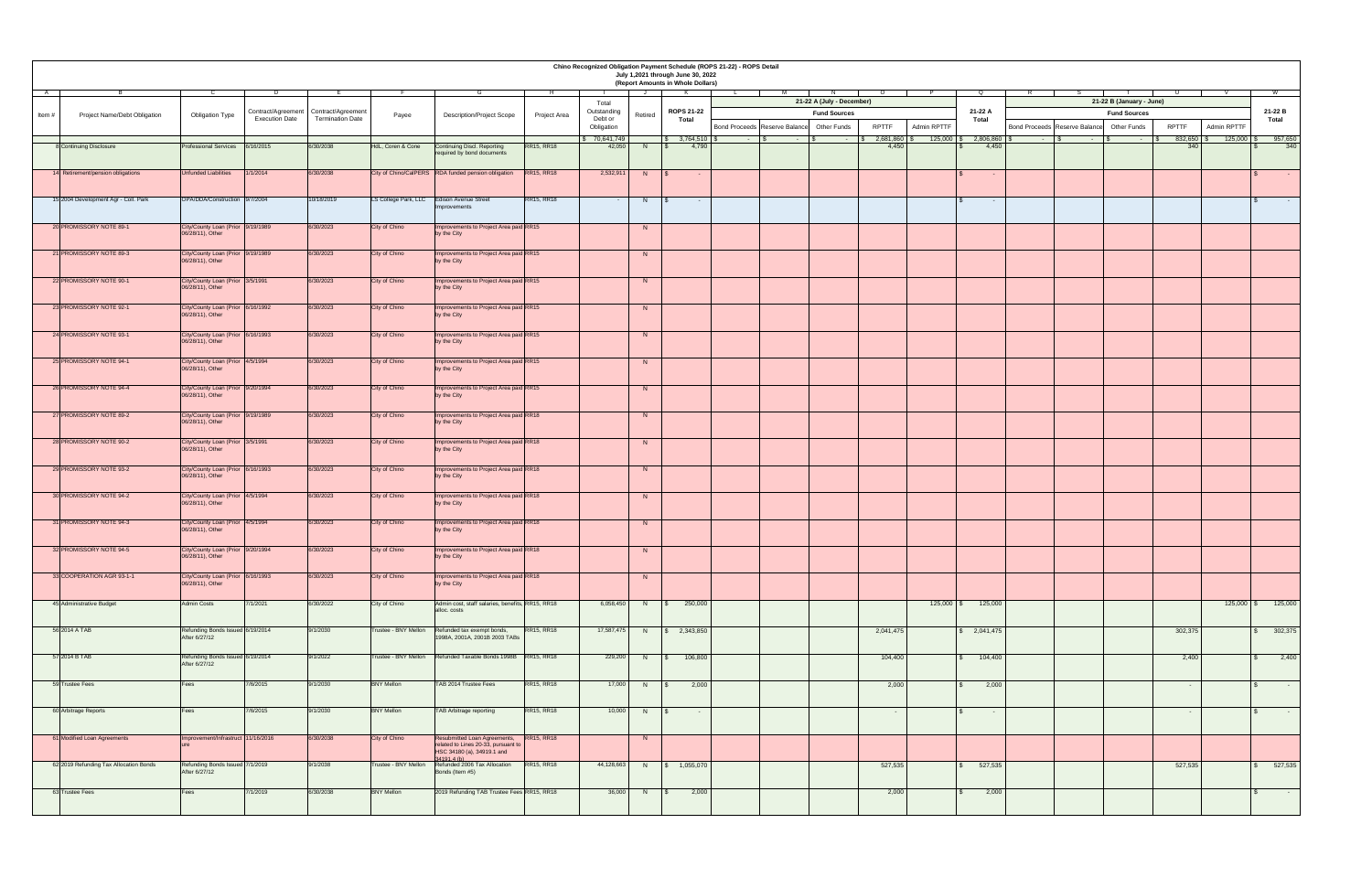| Chino Recognized Obligation Payment Schedule (ROPS 21-22) - ROPS Detail<br>July 1,2021 through June 30, 2022<br>(Report Amounts in Whole Dollars) |                                                       |                       |                                         |                      |                                                                                                     |                   |                       |                |                   |                                           |                           |              |                    |              |                                           |                          |                   |              |                                             |
|---------------------------------------------------------------------------------------------------------------------------------------------------|-------------------------------------------------------|-----------------------|-----------------------------------------|----------------------|-----------------------------------------------------------------------------------------------------|-------------------|-----------------------|----------------|-------------------|-------------------------------------------|---------------------------|--------------|--------------------|--------------|-------------------------------------------|--------------------------|-------------------|--------------|---------------------------------------------|
|                                                                                                                                                   |                                                       |                       |                                         |                      |                                                                                                     |                   |                       |                | <b>K</b>          |                                           | 21-22 A (July - December) |              |                    |              |                                           | 21-22 B (January - June) |                   |              |                                             |
| <b>Project Name/Debt Obligation</b><br>Item $#$                                                                                                   | <b>Obligation Type</b>                                |                       | Contract/Agreement   Contract/Agreement | Payee                | <b>Description/Project Scope</b>                                                                    | Project Area      | Total<br>Outstanding  | Retired        | <b>ROPS 21-22</b> |                                           | <b>Fund Sources</b>       |              |                    | 21-22 A      |                                           | <b>Fund Sources</b>      |                   |              | 21-22 B                                     |
|                                                                                                                                                   |                                                       | <b>Execution Date</b> | <b>Termination Date</b>                 |                      |                                                                                                     |                   | Debt or<br>Obligation |                | <b>Total</b>      | Bond Proceeds Reserve Balance Other Funds |                           | <b>RPTTF</b> | <b>Admin RPTTF</b> | <b>Total</b> | Bond Proceeds Reserve Balance Other Funds |                          | <b>RPTTF</b>      | Admin RPTTF  | <b>Total</b>                                |
|                                                                                                                                                   |                                                       |                       |                                         |                      |                                                                                                     |                   | 70,641,749            |                | \$3,764,510       |                                           |                           | 2,681,860    | $125,000$ \$       | 2,806,860    | <b>Contract Contract</b>                  |                          | 832,650           | 125,000      | 957,650                                     |
| 8 Continuing Disclosure                                                                                                                           | Professional Services 6/16/2015                       |                       | 6/30/2038                               | HdL, Coren & Cone    | <b>Continuing Discl. Reporting</b>                                                                  | <b>RR15, RR18</b> | 42,050                | - N -          | 4,790             |                                           |                           | 4,450        |                    | 4,450        |                                           |                          | 340               |              | 340                                         |
|                                                                                                                                                   |                                                       |                       |                                         |                      | required by bond documents                                                                          |                   |                       |                |                   |                                           |                           |              |                    |              |                                           |                          |                   |              |                                             |
| 14 Retirement/pension obligations                                                                                                                 | Unfunded Liabilities                                  | 1/1/2014              | 6/30/2038                               |                      | City of Chino/CalPERS RDA funded pension obligation                                                 | <b>RR15, RR18</b> | 2,532,911             | $N$ $\sqrt{S}$ | $\sim$ $ \sim$    |                                           |                           |              |                    | $\sim$       |                                           |                          |                   |              | <b>Contract</b>                             |
|                                                                                                                                                   |                                                       |                       |                                         |                      |                                                                                                     |                   |                       |                |                   |                                           |                           |              |                    |              |                                           |                          |                   |              |                                             |
| 15 2004 Development Agr - Coll. Park                                                                                                              | OPA/DDA/Construction 9/7/2004                         |                       | 10/18/2019                              |                      | LS College Park, LLC  Edison Avenue Street<br>Improvements                                          | <b>RR15, RR18</b> | <b>Contract</b>       | N              | $\sim$ $-$        |                                           |                           |              |                    |              |                                           |                          |                   |              | <b>Contract Contract</b>                    |
| 20 PROMISSORY NOTE 89-1                                                                                                                           | City/County Loan (Prior 9/19/1989<br>06/28/11), Other |                       | 6/30/2023                               | City of Chino        | Improvements to Project Area paid RR15<br>by the City                                               |                   |                       | N              |                   |                                           |                           |              |                    |              |                                           |                          |                   |              |                                             |
|                                                                                                                                                   |                                                       |                       |                                         |                      |                                                                                                     |                   |                       |                |                   |                                           |                           |              |                    |              |                                           |                          |                   |              |                                             |
| 21 PROMISSORY NOTE 89-3                                                                                                                           | City/County Loan (Prior 9/19/1989<br>06/28/11), Other |                       | 6/30/2023                               | City of Chino        | Improvements to Project Area paid RR15<br>by the City                                               |                   |                       | N.             |                   |                                           |                           |              |                    |              |                                           |                          |                   |              |                                             |
| 22 PROMISSORY NOTE 90-1                                                                                                                           | City/County Loan (Prior 3/5/1991<br>06/28/11), Other  |                       | 6/30/2023                               | City of Chino        | Improvements to Project Area paid RR15<br>by the City                                               |                   |                       | N              |                   |                                           |                           |              |                    |              |                                           |                          |                   |              |                                             |
| 23 PROMISSORY NOTE 92-1                                                                                                                           | City/County Loan (Prior 6/16/1992<br>06/28/11), Other |                       | 6/30/2023                               | City of Chino        | Improvements to Project Area paid RR15<br>by the City                                               |                   |                       |                |                   |                                           |                           |              |                    |              |                                           |                          |                   |              |                                             |
| 24 PROMISSORY NOTE 93-1                                                                                                                           | City/County Loan (Prior 6/16/1993                     |                       | 6/30/2023                               | City of Chino        | Improvements to Project Area paid RR15                                                              |                   |                       | N              |                   |                                           |                           |              |                    |              |                                           |                          |                   |              |                                             |
|                                                                                                                                                   | 06/28/11), Other                                      |                       |                                         |                      | by the City                                                                                         |                   |                       |                |                   |                                           |                           |              |                    |              |                                           |                          |                   |              |                                             |
| 25 PROMISSORY NOTE 94-1                                                                                                                           | City/County Loan (Prior 4/5/1994<br>06/28/11), Other  |                       | 6/30/2023                               | City of Chino        | Improvements to Project Area paid RR15<br>by the City                                               |                   |                       | N              |                   |                                           |                           |              |                    |              |                                           |                          |                   |              |                                             |
| 26 PROMISSORY NOTE 94-4                                                                                                                           | City/County Loan (Prior 9/20/1994<br>06/28/11), Other |                       | 6/30/2023                               | City of Chino        | Improvements to Project Area paid RR15<br>by the City                                               |                   |                       | N              |                   |                                           |                           |              |                    |              |                                           |                          |                   |              |                                             |
| 27 PROMISSORY NOTE 89-2                                                                                                                           | City/County Loan (Prior 9/19/1989                     |                       | 6/30/2023                               | City of Chino        | Improvements to Project Area paid RR18                                                              |                   |                       | N              |                   |                                           |                           |              |                    |              |                                           |                          |                   |              |                                             |
|                                                                                                                                                   | 06/28/11), Other                                      |                       |                                         |                      | by the City                                                                                         |                   |                       |                |                   |                                           |                           |              |                    |              |                                           |                          |                   |              |                                             |
| 28 PROMISSORY NOTE 90-2                                                                                                                           | City/County Loan (Prior 3/5/1991<br>06/28/11), Other  |                       | 6/30/2023                               | City of Chino        | Improvements to Project Area paid RR18<br>by the City                                               |                   |                       | N              |                   |                                           |                           |              |                    |              |                                           |                          |                   |              |                                             |
| 29 PROMISSORY NOTE 93-2                                                                                                                           | City/County Loan (Prior 6/16/1993<br>06/28/11), Other |                       | 6/30/2023                               | City of Chino        | Improvements to Project Area paid RR18<br>by the City                                               |                   |                       | N.             |                   |                                           |                           |              |                    |              |                                           |                          |                   |              |                                             |
| 30 PROMISSORY NOTE 94-2                                                                                                                           | City/County Loan (Prior 4/5/1994<br>06/28/11), Other  |                       | 6/30/2023                               | City of Chino        | Improvements to Project Area paid RR18<br>by the City                                               |                   |                       | N              |                   |                                           |                           |              |                    |              |                                           |                          |                   |              |                                             |
| 31 PROMISSORY NOTE 94-3                                                                                                                           | City/County Loan (Prior 4/5/1994<br>06/28/11), Other  |                       | 6/30/2023                               | City of Chino        | Improvements to Project Area paid RR18<br>by the City                                               |                   |                       | N.             |                   |                                           |                           |              |                    |              |                                           |                          |                   |              |                                             |
| 32 PROMISSORY NOTE 94-5                                                                                                                           | City/County Loan (Prior 9/20/1994<br>06/28/11), Other |                       | 6/30/2023                               | City of Chino        | Improvements to Project Area paid RR18<br>by the City                                               |                   |                       | N              |                   |                                           |                           |              |                    |              |                                           |                          |                   |              |                                             |
| 33 COOPERATION AGR 93-1-1                                                                                                                         | City/County Loan (Prior 6/16/1993<br>06/28/11), Other |                       | 6/30/2023                               | City of Chino        | Improvements to Project Area paid RR18<br>by the City                                               |                   |                       | N              |                   |                                           |                           |              |                    |              |                                           |                          |                   |              |                                             |
| 45 Administrative Budget                                                                                                                          | <b>Admin Costs</b>                                    | 7/1/2021              | 6/30/2022                               | City of Chino        | Admin cost, staff salaries, benefits, RR15, RR18                                                    |                   | 6,058,450             | N              | 250,000           |                                           |                           |              | $125,000$   \$     | 125,000      |                                           |                          |                   | $125,000$ \$ | 125,000                                     |
|                                                                                                                                                   |                                                       |                       |                                         |                      | alloc. costs                                                                                        |                   |                       |                |                   |                                           |                           |              |                    |              |                                           |                          |                   |              |                                             |
| 56 2014 A TAB                                                                                                                                     | Refunding Bonds Issued 6/19/2014<br>After 6/27/12     |                       | 9/1/2030                                | Trustee - BNY Mellon | Refunded tax exempt bonds,<br>1998A, 2001A, 2001B 2003 TABs                                         | <b>RR15, RR18</b> | 17,587,475            | N              | 2,343,850         |                                           |                           | 2,041,475    |                    | \$2,041,475  |                                           |                          | 302,375           |              | 302,375                                     |
| 57 2014 B TAB                                                                                                                                     | Refunding Bonds Issued 6/19/2014<br>After 6/27/12     |                       | 9/1/2022                                | Trustee - BNY Mellon | Refunded Taxable Bonds 1998B RR15, RR18                                                             |                   | 229,200               | N              | 106,800           |                                           |                           | 104,400      |                    | 104,400      |                                           |                          | 2,400             |              | 2,400                                       |
| 59 Trustee Fees                                                                                                                                   | Fees                                                  | 7/6/2015              | 9/1/2030                                | <b>BNY Mellon</b>    | TAB 2014 Trustee Fees                                                                               | <b>RR15, RR18</b> | 17,000                | N              | 2,000             |                                           |                           | 2,000        |                    | 2,000        |                                           |                          |                   |              | <b>State State</b>                          |
| 60 Arbitrage Reports                                                                                                                              | Fees                                                  | 7/6/2015              | 9/1/2030                                | <b>BNY Mellon</b>    | TAB Arbitrage reporting                                                                             | <b>RR15, RR18</b> | 10,000                | N              | $\sim 100$        |                                           |                           | $\sim 100$   |                    | $\sim$       |                                           |                          | $\sim$ 100 $\sim$ |              | <b>Common</b>                               |
| 61 Modified Loan Agreements                                                                                                                       | Improvement/Infrastruct 11/16/2016                    |                       | 6/30/2038                               | City of Chino        | Resubmitted Loan Agreements,<br>related to Lines 20-33, pursuant to  <br>HSC 34180 (a), 34919.1 and | <b>RR15, RR18</b> |                       | N              |                   |                                           |                           |              |                    |              |                                           |                          |                   |              |                                             |
| 62 2019 Refunding Tax Allocation Bonds                                                                                                            | Refunding Bonds Issued 7/1/2019<br>After 6/27/12      |                       | 9/1/2038                                | Trustee - BNY Mellon | 34191.4 (b)<br>Refunded 2006 Tax Allocation<br>Bonds (Item #5)                                      | <b>RR15, RR18</b> | 44,128,663            | N              | 1,055,070         |                                           |                           | 527,535      |                    | 527,535      |                                           |                          | 527,535           |              | 527,535                                     |
|                                                                                                                                                   |                                                       |                       |                                         |                      |                                                                                                     |                   |                       |                |                   |                                           |                           |              |                    |              |                                           |                          |                   |              |                                             |
| 63 Trustee Fees                                                                                                                                   | <b>Fees</b>                                           | 7/1/2019              | 6/30/2038                               | <b>BNY Mellon</b>    | 2019 Refunding TAB Trustee Fees RR15, RR18                                                          |                   | 36,000                | N              | 2,000             |                                           |                           | 2,000        |                    | 2,000        |                                           |                          |                   |              | $\mathbf{\Phi}$<br><b>Contract Contract</b> |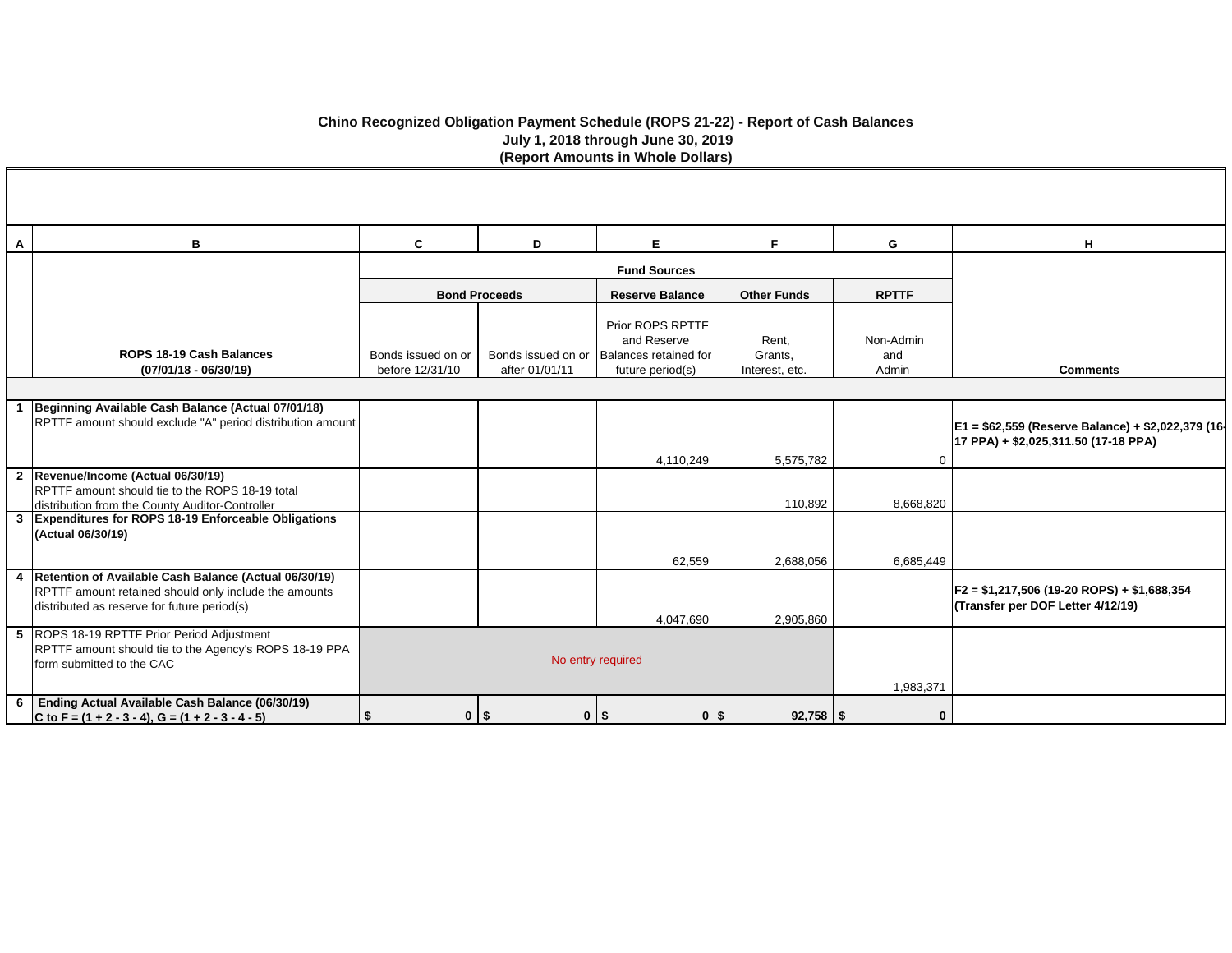# **Chino Recognized Obligation Payment Schedule (ROPS 21-22) - Report of Cash Balances July 1, 2018 through June 30, 2019 (Report Amounts in Whole Dollars)**

| A | B                                                                                                                                                               | $\mathbf{C}$                          | D                                    | E.                                                                           | F.                                 | G                         | н                                                                                          |
|---|-----------------------------------------------------------------------------------------------------------------------------------------------------------------|---------------------------------------|--------------------------------------|------------------------------------------------------------------------------|------------------------------------|---------------------------|--------------------------------------------------------------------------------------------|
|   |                                                                                                                                                                 |                                       |                                      | <b>Fund Sources</b>                                                          |                                    |                           |                                                                                            |
|   |                                                                                                                                                                 |                                       | <b>Bond Proceeds</b>                 | <b>Reserve Balance</b>                                                       | <b>Other Funds</b>                 | <b>RPTTF</b>              |                                                                                            |
|   | ROPS 18-19 Cash Balances<br>$(07/01/18 - 06/30/19)$                                                                                                             | Bonds issued on or<br>before 12/31/10 | Bonds issued on or<br>after 01/01/11 | Prior ROPS RPTTF<br>and Reserve<br>Balances retained for<br>future period(s) | Rent,<br>Grants,<br>Interest, etc. | Non-Admin<br>and<br>Admin | <b>Comments</b>                                                                            |
|   |                                                                                                                                                                 |                                       |                                      |                                                                              |                                    |                           |                                                                                            |
|   | Beginning Available Cash Balance (Actual 07/01/18)<br>RPTTF amount should exclude "A" period distribution amount                                                |                                       |                                      |                                                                              |                                    |                           | E1 = \$62,559 (Reserve Balance) + \$2,022,379 (16-<br>17 PPA) + \$2,025,311.50 (17-18 PPA) |
|   |                                                                                                                                                                 |                                       |                                      | 4,110,249                                                                    | 5,575,782                          |                           |                                                                                            |
|   | 2  Revenue/Income (Actual 06/30/19)<br>RPTTF amount should tie to the ROPS 18-19 total<br>distribution from the County Auditor-Controller                       |                                       |                                      |                                                                              | 110,892                            | 8,668,820                 |                                                                                            |
|   | 3 Expenditures for ROPS 18-19 Enforceable Obligations<br>(Actual 06/30/19)                                                                                      |                                       |                                      |                                                                              |                                    |                           |                                                                                            |
|   |                                                                                                                                                                 |                                       |                                      | 62,559                                                                       | 2,688,056                          | 6,685,449                 |                                                                                            |
|   | 4 Retention of Available Cash Balance (Actual 06/30/19)<br>RPTTF amount retained should only include the amounts<br>distributed as reserve for future period(s) |                                       |                                      | 4,047,690                                                                    | 2,905,860                          |                           | F2 = \$1,217,506 (19-20 ROPS) + \$1,688,354<br>(Transfer per DOF Letter 4/12/19)           |
|   | 5 ROPS 18-19 RPTTF Prior Period Adjustment<br>RPTTF amount should tie to the Agency's ROPS 18-19 PPA<br>form submitted to the CAC                               |                                       |                                      | No entry required                                                            | 1,983,371                          |                           |                                                                                            |
| 6 | Ending Actual Available Cash Balance (06/30/19)<br>C to F = $(1 + 2 - 3 - 4)$ , G = $(1 + 2 - 3 - 4 - 5)$                                                       | $0$   \$<br>\$                        |                                      | $0$   \$<br>$0$   \$                                                         | $92,758$ \ \\$                     | $\mathbf 0$               |                                                                                            |